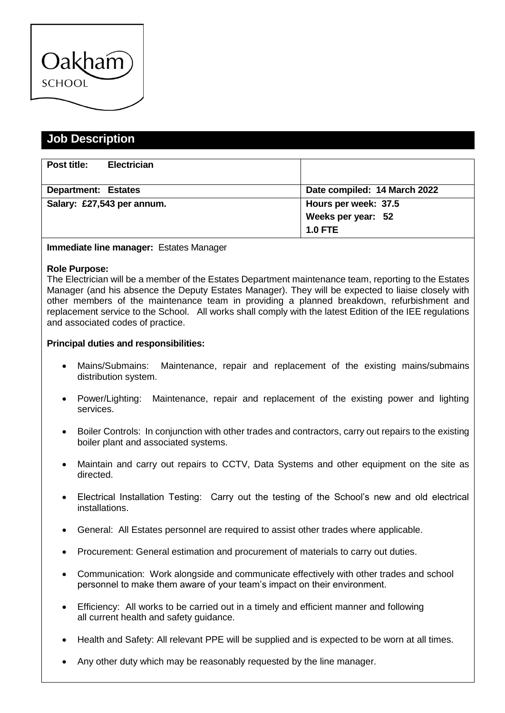

## **Job Description**

| Post title:                | <b>Electrician</b> |                              |
|----------------------------|--------------------|------------------------------|
|                            |                    |                              |
| <b>Department: Estates</b> |                    | Date compiled: 14 March 2022 |
| Salary: £27,543 per annum. |                    | Hours per week: 37.5         |
|                            |                    | Weeks per year: 52           |
|                            |                    | $1.0$ FTE                    |

## **Immediate line manager:** Estates Manager

## **Role Purpose:**

The Electrician will be a member of the Estates Department maintenance team, reporting to the Estates Manager (and his absence the Deputy Estates Manager). They will be expected to liaise closely with other members of the maintenance team in providing a planned breakdown, refurbishment and replacement service to the School. All works shall comply with the latest Edition of the IEE regulations and associated codes of practice.

## **Principal duties and responsibilities:**

- Mains/Submains: Maintenance, repair and replacement of the existing mains/submains distribution system.
- Power/Lighting: Maintenance, repair and replacement of the existing power and lighting services.
- Boiler Controls: In conjunction with other trades and contractors, carry out repairs to the existing boiler plant and associated systems.
- Maintain and carry out repairs to CCTV, Data Systems and other equipment on the site as directed.
- Electrical Installation Testing: Carry out the testing of the School's new and old electrical installations.
- General: All Estates personnel are required to assist other trades where applicable.
- Procurement: General estimation and procurement of materials to carry out duties.
- Communication: Work alongside and communicate effectively with other trades and school personnel to make them aware of your team's impact on their environment.
- Efficiency: All works to be carried out in a timely and efficient manner and following all current health and safety guidance.
- Health and Safety: All relevant PPE will be supplied and is expected to be worn at all times.
- Any other duty which may be reasonably requested by the line manager.